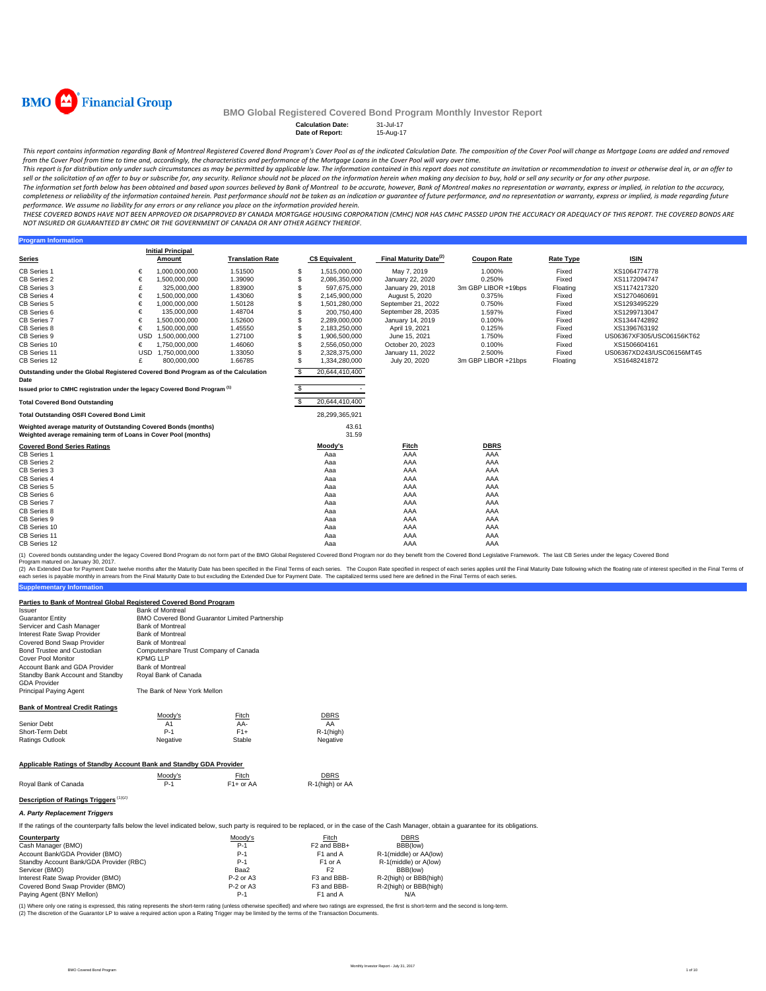

**Program Information** 

### **BMO Global Registered Covered Bond Program Monthly Investor Report**

**Calculation Date: Date of Report:** 15-Aug-17

This report contains information regarding Bank of Montreal Registered Covered Bond Program's Cover Pool as of the indicated Calculation Date. The composition of the Cover Pool will change as Mortgage Loans are added and r

from the Cover Pool from time to time and, accordingly, the characteristics and performance of the Mortgage Loans in the Cover Pool will vary over time.<br>This report is for distribution only under such circumstances as may sell or the solicitation of an offer to buy or subscribe for, any security. Reliance should not be placed on the information herein when making any decision to buy, hold or sell any security or for any other purpose.

The information set forth below has been obtained and based upon sources believed by Bank of Montreal to be accurate, however, Bank of Montreal makes no representation or warranty, express or implied, in relation to the ac completeness or reliability of the information contained herein. Past performance should not be taken as an indication or guarantee of future performance, and no representation or warranty, express or implied, is made rega performance. We assume no liability for any errors or any reliance you place on the information provided herein.

.<br>THESE COVERED BONDS HAVE NOT BEEN APPROVED OR DISAPPROVED BY CANADA MORTGAGE HOUSING CORPORATION (CMHC) NOR HAS CMHC PASSED UPON THE ACCURACY OR ADEQUACY OF THIS REPORT. THE COVERED BONDS ARE *NOT INSURED OR GUARANTEED BY CMHC OR THE GOVERNMENT OF CANADA OR ANY OTHER AGENCY THEREOF.*

|                                                                                                                                    |            | <b>Initial Principal</b> |                         |     |                       |                                    |                     |                  |                           |  |
|------------------------------------------------------------------------------------------------------------------------------------|------------|--------------------------|-------------------------|-----|-----------------------|------------------------------------|---------------------|------------------|---------------------------|--|
| <b>Series</b>                                                                                                                      |            | Amount                   | <b>Translation Rate</b> |     | <b>C\$ Equivalent</b> | Final Maturity Date <sup>(2)</sup> | <b>Coupon Rate</b>  | <b>Rate Type</b> | <b>ISIN</b>               |  |
| <b>CB Series 1</b>                                                                                                                 | €          | 1,000,000,000            | 1.51500                 | £.  | 1,515,000,000         | May 7, 2019                        | 1.000%              | Fixed            | XS1064774778              |  |
| CB Series 2                                                                                                                        | €          | 1,500,000,000            | 1.39090                 | S   | 2,086,350,000         | January 22, 2020                   | 0.250%              | Fixed            | XS1172094747              |  |
| CB Series 3                                                                                                                        | £          | 325,000,000              | 1.83900                 | \$. | 597,675,000           | January 29, 2018                   | 3m GBP LIBOR +19bps | Floating         | XS1174217320              |  |
| CB Series 4                                                                                                                        | €          | 1,500,000,000            | 1.43060                 |     | 2,145,900,000         | August 5, 2020                     | 0.375%              | Fixed            | XS1270460691              |  |
| CB Series 5                                                                                                                        | €          | 1,000,000,000            | 1.50128                 | S   | 1,501,280,000         | September 21, 2022                 | 0.750%              | Fixed            | XS1293495229              |  |
| CB Series 6                                                                                                                        | €          | 135,000,000              | 1.48704                 | \$. | 200,750,400           | September 28, 2035                 | 1.597%              | Fixed            | XS1299713047              |  |
| CB Series 7                                                                                                                        | €          | 1,500,000,000            | 1.52600                 |     | 2.289.000.000         | January 14, 2019                   | 0.100%              | Fixed            | XS1344742892              |  |
| CB Series 8                                                                                                                        | €          | 1,500,000,000            | 1.45550                 | \$. | 2,183,250,000         | April 19, 2021                     | 0.125%              | Fixed            | XS1396763192              |  |
| CB Series 9                                                                                                                        | <b>USD</b> | 1,500,000,000            | 1.27100                 | S   | 1,906,500,000         | June 15, 2021                      | 1.750%              | Fixed            | US06367XF305/USC06156KT62 |  |
| CB Series 10                                                                                                                       | €          | 1,750,000,000            | 1.46060                 | \$. | 2,556,050,000         | October 20, 2023                   | 0.100%              | Fixed            | XS1506604161              |  |
| CB Series 11                                                                                                                       | <b>USD</b> | 1,750,000,000            | 1.33050                 | \$. | 2.328.375.000         | January 11, 2022                   | 2.500%              | Fixed            | US06367XD243/USC06156MT45 |  |
| CB Series 12                                                                                                                       | £          | 800.000.000              | 1.66785                 | \$. | 1,334,280,000         | July 20, 2020                      | 3m GBP LIBOR +21bps | Floating         | XS1648241872              |  |
| Outstanding under the Global Registered Covered Bond Program as of the Calculation<br>Date                                         |            |                          |                         | -S  | 20,644,410,400        |                                    |                     |                  |                           |  |
| Issued prior to CMHC registration under the legacy Covered Bond Program <sup>(1)</sup>                                             |            |                          |                         |     |                       |                                    |                     |                  |                           |  |
| <b>Total Covered Bond Outstanding</b>                                                                                              |            |                          |                         |     | 20,644,410,400        |                                    |                     |                  |                           |  |
| <b>Total Outstanding OSFI Covered Bond Limit</b>                                                                                   |            |                          |                         |     | 28,299,365,921        |                                    |                     |                  |                           |  |
| Weighted average maturity of Outstanding Covered Bonds (months)<br>Weighted average remaining term of Loans in Cover Pool (months) |            |                          |                         |     | 43.61<br>31.59        |                                    |                     |                  |                           |  |
| <b>Covered Bond Series Ratings</b>                                                                                                 |            |                          |                         |     | Moody's               | Fitch                              | <b>DBRS</b>         |                  |                           |  |
| CB Series 1                                                                                                                        |            |                          |                         |     | Aaa                   | AAA                                | AAA                 |                  |                           |  |
| CB Series 2                                                                                                                        |            |                          |                         |     | Aaa                   | AAA                                | AAA                 |                  |                           |  |
| CB Series 3                                                                                                                        |            |                          |                         |     | Aaa                   | AAA                                | AAA                 |                  |                           |  |
| CB Series 4                                                                                                                        |            |                          |                         |     | Aaa                   | AAA                                | AAA                 |                  |                           |  |
| CB Series 5                                                                                                                        |            |                          |                         |     | Aaa                   | AAA                                | AAA                 |                  |                           |  |
| CB Series 6                                                                                                                        |            |                          |                         |     | Aaa                   | AAA                                | AAA                 |                  |                           |  |
| <b>CB Series 7</b>                                                                                                                 |            |                          |                         |     | Aaa                   | AAA                                | AAA                 |                  |                           |  |
| CB Series 8                                                                                                                        |            |                          |                         |     | Aaa                   | AAA                                | AAA                 |                  |                           |  |
| CB Series 9                                                                                                                        |            |                          |                         |     | Aaa                   | AAA                                | AAA                 |                  |                           |  |
| CB Series 10                                                                                                                       |            |                          |                         |     | Aaa                   | AAA                                | AAA                 |                  |                           |  |
| CB Series 11                                                                                                                       |            |                          |                         |     | Aaa                   | AAA                                | AAA                 |                  |                           |  |
| CB Series 12                                                                                                                       |            |                          |                         |     | Aaa                   | AAA                                | AAA                 |                  |                           |  |

(1) Covered bonds outstanding under the legacy Covered Bond Program do not form part of the BMO Global Registered Covered Bond Program nor do they benefit from the Covered Bond Legislative Framework. The last CB Series und

**Supplementary Information** (2) An Extended Due for Payment Date twelve months after the Maturity Date has been specified in the Final Erms of each series. The Capon Rate specified in the Final Maturity Date in the Final Maturity Date in the Final Te

#### **Parties to Bank of Montreal Global Registered Covered Bond Program**

| Issuer                                           | <b>Bank of Montreal</b>                        |
|--------------------------------------------------|------------------------------------------------|
| Guarantor Entitv                                 | BMO Covered Bond Guarantor Limited Partnership |
| Servicer and Cash Manager                        | <b>Bank of Montreal</b>                        |
| Interest Rate Swap Provider                      | <b>Bank of Montreal</b>                        |
| Covered Bond Swap Provider                       | <b>Bank of Montreal</b>                        |
| Bond Trustee and Custodian                       | Computershare Trust Company of Canada          |
| Cover Pool Monitor                               | <b>KPMG LLP</b>                                |
| Account Bank and GDA Provider                    | <b>Bank of Montreal</b>                        |
| Standby Bank Account and Standby<br>GDA Provider | Roval Bank of Canada                           |
| Principal Paying Agent                           | The Bank of New York Mellon                    |
| Bank of Montreal Credit Ratings                  |                                                |
|                                                  | .<br>---                                       |

|          | <b>Fitch</b> | <b>DBRS</b>  |
|----------|--------------|--------------|
| A1       | AA-          | AA           |
| $P-1$    | $F1+$        | $R-1$ (high) |
| Negative | Stable       | Negative     |
|          | Moody's      |              |

### **Applicable Ratings of Standby Account Bank and Standby GDA Provider**

|                      | Moodv's | <b>Fitch</b>           | DBRS            |
|----------------------|---------|------------------------|-----------------|
| Royal Bank of Canada | $P-1$   | F <sub>1</sub> + or AA | R-1(high) or AA |

### **Description of Ratings Triggers** (1)(2) *A. Party Replacement Triggers*

If the ratings of the counterparty falls below the level indicated below, such party is required to be replaced, or in the case of the Cash Manager, obtain a guarantee for its obligations.

| Counterparty                            | Moody's     | Fitch                   | <b>DBRS</b>            |  |
|-----------------------------------------|-------------|-------------------------|------------------------|--|
| Cash Manager (BMO)                      | $P-1$       | F <sub>2</sub> and BBB+ | BBB(low)               |  |
| Account Bank/GDA Provider (BMO)         | $P-1$       | F <sub>1</sub> and A    | R-1(middle) or AA(low) |  |
| Standby Account Bank/GDA Provider (RBC) | $P-1$       | F <sub>1</sub> or A     | R-1(middle) or A(low)  |  |
| Servicer (BMO)                          | Baa2        | F <sub>2</sub>          | BBB(low)               |  |
| Interest Rate Swap Provider (BMO)       | $P-2$ or A3 | F3 and BBB-             | R-2(high) or BBB(high) |  |
| Covered Bond Swap Provider (BMO)        | $P-2$ or A3 | F3 and BBB-             | R-2(high) or BBB(high) |  |
| Paying Agent (BNY Mellon)               | $P-1$       | F <sub>1</sub> and A    | N/A                    |  |

(1) Where only one rating is expressed, this rating represents the short-term rating (unless othevnise specified) and where two ratings are expressed, the first is short-term and the second is long-term.<br>(2) The discretion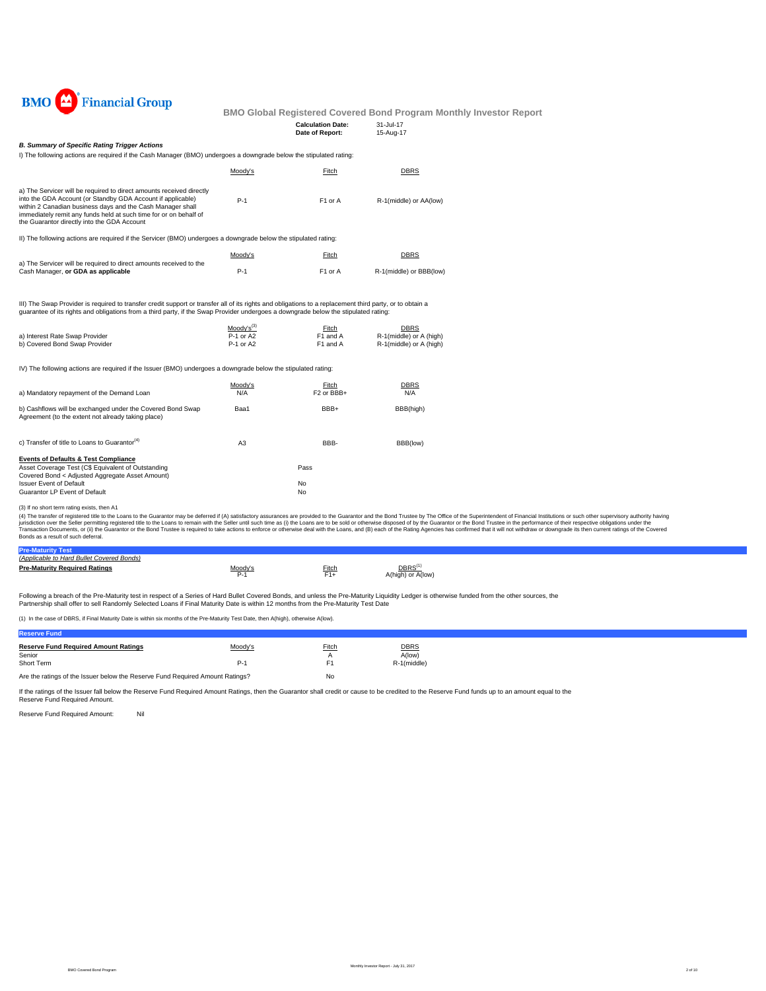

| <b>Calculation Date:</b> | 31-Jul-17 |
|--------------------------|-----------|
| Date of Report:          | 15-Aug-17 |

#### *B. Summary of Specific Rating Trigger Actions*

I) The following actions are required if the Cash Manager (BMO) undergoes a downgrade below the stipulated rating:

|                                                                                                                                                                                                                                                                                                                       | Moody's | Fitch               | DBRS                    |
|-----------------------------------------------------------------------------------------------------------------------------------------------------------------------------------------------------------------------------------------------------------------------------------------------------------------------|---------|---------------------|-------------------------|
| a) The Servicer will be required to direct amounts received directly<br>into the GDA Account (or Standby GDA Account if applicable)<br>within 2 Canadian business days and the Cash Manager shall<br>immediately remit any funds held at such time for or on behalf of<br>the Guarantor directly into the GDA Account | $P-1$   | F <sub>1</sub> or A | R-1(middle) or AA(low)  |
| II) The following actions are required if the Servicer (BMO) undergoes a downgrade below the stipulated rating:                                                                                                                                                                                                       |         |                     |                         |
|                                                                                                                                                                                                                                                                                                                       | Moody's | Fitch               | DBRS                    |
| a) The Servicer will be required to direct amounts received to the<br>Cash Manager, or GDA as applicable                                                                                                                                                                                                              | $P-1$   | F <sub>1</sub> or A | R-1(middle) or BBB(low) |

III) The Swap Provider is required to transfer credit support or transfer all of its rights and obligations to a replacement third party, or to obtain a guarantee of its rights and obligations from a third party, if the Swap Provider undergoes a downgrade below the stipulated rating:

|                                | Moody's <sup>(3)</sup> | Fitch    | <b>DBRS</b>             |
|--------------------------------|------------------------|----------|-------------------------|
| a) Interest Rate Swap Provider | P-1 or A2              | F1 and A | R-1(middle) or A (high) |
| b) Covered Bond Swap Provider  | P-1 or A2              | F1 and A | R-1(middle) or A (high) |

IV) The following actions are required if the Issuer (BMO) undergoes a downgrade below the stipulated rating:

| a) Mandatory repayment of the Demand Loan                                                                                                                | Moody's<br>N/A | Fitch<br>F <sub>2</sub> or BB <sub>B+</sub> | <b>DBRS</b><br>N/A |
|----------------------------------------------------------------------------------------------------------------------------------------------------------|----------------|---------------------------------------------|--------------------|
| b) Cashflows will be exchanged under the Covered Bond Swap<br>Agreement (to the extent not already taking place)                                         | Baa1           | BBB+                                        | BBB(high)          |
| c) Transfer of title to Loans to Guarantor <sup>(4)</sup>                                                                                                | A <sub>3</sub> | BBB-                                        | BBB(low)           |
| <b>Events of Defaults &amp; Test Compliance</b><br>Asset Coverage Test (C\$ Equivalent of Outstanding<br>Covered Bond < Adjusted Aggregate Asset Amount) |                | Pass                                        |                    |
| <b>Issuer Event of Default</b><br>Guarantor LP Event of Default                                                                                          |                | No<br>No                                    |                    |

(3) If no short term rating exists, then A1

(4) The transfer of registered title to the Cans to the Guarantor may be deferred if (A) saitsfactory assurances are provided to the Guarantor and the Bond Trustee by The Office of the Sulerintendent of Financial Instituti

| <b>Pre-Man</b>                            |       |                      |
|-------------------------------------------|-------|----------------------|
| (Applicable to Hard Bullet Covered Bonds) |       |                      |
| <b>Pre-Maturity Required Ratings</b>      | ⊏itch | or A(low)<br>A(high) |

Following a breach of the Pre-Maturity test in respect of a Series of Hard Bullet Covered Bonds, and unless the Pre-Maturity Liquidity Ledger is otherwise funded from the other sources, the Partnership shall offer to sell Randomly Selected Loans if Final Maturity Date is within 12 months from the Pre-Maturity Test Date

(1) In the case of DBRS, if Final Maturity Date is within six months of the Pre-Maturity Test Date, then A(high), otherwise A(low).

| <b>Reserve Fund</b>                                                           |         |       |             |
|-------------------------------------------------------------------------------|---------|-------|-------------|
| <b>Reserve Fund Required Amount Ratings</b>                                   | Moody's | Fitch | <b>DBRS</b> |
| Senior                                                                        |         |       | A(low)      |
| Short Term                                                                    | $P-1$   | F1    | R-1(middle) |
| Are the ratings of the Issuer below the Reserve Fund Required Amount Ratings? |         | No    |             |

If the ratings of the Issuer fall below the Reserve Fund Required Amount Ratings, then the Guarantor shall credit or cause to be credited to the Reserve Fund funds up to an amount equal to the Reserve Fund Required Amount.

Reserve Fund Required Amount: Nil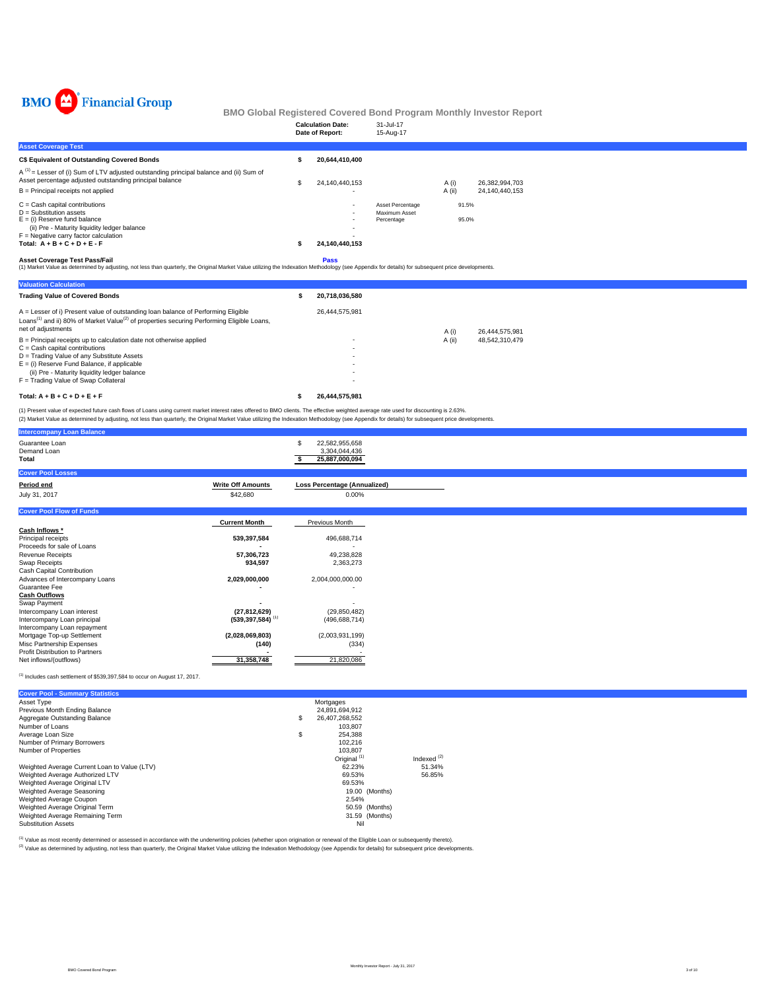

|                                                                                                                                                                                                                                            |             | <b>Calculation Date:</b><br>Date of Report: | 31-Jul-17<br>15-Aug-17             |        |                |  |
|--------------------------------------------------------------------------------------------------------------------------------------------------------------------------------------------------------------------------------------------|-------------|---------------------------------------------|------------------------------------|--------|----------------|--|
| <b>Asset Coverage Test</b>                                                                                                                                                                                                                 |             |                                             |                                    |        |                |  |
| C\$ Equivalent of Outstanding Covered Bonds                                                                                                                                                                                                |             | 20.644.410.400                              |                                    |        |                |  |
| $A^{(1)}$ = Lesser of (i) Sum of LTV adjusted outstanding principal balance and (ii) Sum of<br>Asset percentage adjusted outstanding principal balance                                                                                     |             | 24.140.440.153                              |                                    | A (i)  | 26.382.994.703 |  |
| $B =$ Principal receipts not applied                                                                                                                                                                                                       |             |                                             |                                    | A (ii) | 24.140.440.153 |  |
| $C =$ Cash capital contributions                                                                                                                                                                                                           |             | $\overline{\phantom{a}}$                    | Asset Percentage                   | 91.5%  |                |  |
| $D =$ Substitution assets<br>$E = (i)$ Reserve fund balance<br>(ii) Pre - Maturity liquidity ledger balance                                                                                                                                |             | $\overline{\phantom{a}}$                    | <b>Maximum Asset</b><br>Percentage | 95.0%  |                |  |
| $F =$ Negative carry factor calculation                                                                                                                                                                                                    |             |                                             |                                    |        |                |  |
| Total: $A + B + C + D + E - F$                                                                                                                                                                                                             |             | 24.140.440.153                              |                                    |        |                |  |
| <b>Asset Coverage Test Pass/Fail</b><br>(1) Market Value as determined by adjusting, not less than quarterly, the Original Market Value utilizing the Indexation Methodology (see Appendix for details) for subsequent price developments. | <b>Pass</b> |                                             |                                    |        |                |  |

| <b>Valuation Calculation</b>                                                                                                                                                                                                 |                |        |                |
|------------------------------------------------------------------------------------------------------------------------------------------------------------------------------------------------------------------------------|----------------|--------|----------------|
| <b>Trading Value of Covered Bonds</b>                                                                                                                                                                                        | 20.718.036.580 |        |                |
| A = Lesser of i) Present value of outstanding loan balance of Performing Eligible<br>Loans <sup>(1)</sup> and ii) 80% of Market Value <sup>(2)</sup> of properties securing Performing Eligible Loans,<br>net of adjustments | 26.444.575.981 | A (i)  | 26.444.575.981 |
| $B =$ Principal receipts up to calculation date not otherwise applied                                                                                                                                                        |                | A (ii) | 48,542,310,479 |
| $C =$ Cash capital contributions                                                                                                                                                                                             |                |        |                |
| D = Trading Value of any Substitute Assets                                                                                                                                                                                   |                |        |                |
| $E =$ (i) Reserve Fund Balance, if applicable                                                                                                                                                                                |                |        |                |
| (ii) Pre - Maturity liquidity ledger balance                                                                                                                                                                                 | ۰              |        |                |
| F = Trading Value of Swap Collateral                                                                                                                                                                                         |                |        |                |
| Total: $A + B + C + D + E + F$                                                                                                                                                                                               | 26.444.575.981 |        |                |

(1) Present value of expected future cash flows of Loans using current market interest rates offered to BMO clients. The effective weighted average rate used for discounting is 2.63%.<br>(2) Market Value as determined by adju

|                          | 22,582,955,658<br>3,304,044,436<br>25,887,000,094                                                             |
|--------------------------|---------------------------------------------------------------------------------------------------------------|
|                          |                                                                                                               |
| <b>Write Off Amounts</b> | <b>Loss Percentage (Annualized)</b>                                                                           |
| \$42,680                 | 0.00%                                                                                                         |
|                          |                                                                                                               |
| <b>Current Month</b>     | Previous Month                                                                                                |
|                          |                                                                                                               |
| 539,397,584              | 496,688,714                                                                                                   |
|                          |                                                                                                               |
| 57,306,723               | 49,238,828                                                                                                    |
| 934,597                  | 2,363,273                                                                                                     |
|                          |                                                                                                               |
|                          | 2,004,000,000.00                                                                                              |
|                          |                                                                                                               |
|                          |                                                                                                               |
|                          |                                                                                                               |
|                          | (29, 850, 482)                                                                                                |
|                          | (496, 688, 714)                                                                                               |
|                          |                                                                                                               |
|                          | (2,003,931,199)                                                                                               |
|                          | (334)                                                                                                         |
|                          |                                                                                                               |
|                          | 21,820,086                                                                                                    |
|                          | 2,029,000,000<br>(27, 812, 629)<br>$(539, 397, 584)$ <sup>(1)</sup><br>(2,028,069,803)<br>(140)<br>31,358,748 |

 $^{(1)}$  Includes cash settlement of \$539,397,584 to occur on August 17, 2017.

| <b>Cover Pool - Summary Statistics</b>       |                         |                  |
|----------------------------------------------|-------------------------|------------------|
| Asset Type                                   | Mortgages               |                  |
| Previous Month Ending Balance                | 24.891.694.912          |                  |
| Aggregate Outstanding Balance                | \$<br>26.407.268.552    |                  |
| Number of Loans                              | 103.807                 |                  |
| Average Loan Size                            | \$<br>254.388           |                  |
| Number of Primary Borrowers                  | 102.216                 |                  |
| Number of Properties                         | 103.807                 |                  |
|                                              | Original <sup>(1)</sup> | Indexed $^{(2)}$ |
| Weighted Average Current Loan to Value (LTV) | 62.23%                  | 51.34%           |
| Weighted Average Authorized LTV              | 69.53%                  | 56.85%           |
| Weighted Average Original LTV                | 69.53%                  |                  |
| Weighted Average Seasoning                   | 19.00 (Months)          |                  |
| Weighted Average Coupon                      | 2.54%                   |                  |
| Weighted Average Original Term               | 50.59 (Months)          |                  |
| Weighted Average Remaining Term              | 31.59 (Months)          |                  |
| <b>Substitution Assets</b>                   | Nil                     |                  |

<sup>(1)</sup> Value as most recently determined or assessed in accordance with the underwriting policies (whether upon origination or renewal of the Eligible Loan or subsequently thereto).<br><sup>(2)</sup> Value as determined by adjusting, n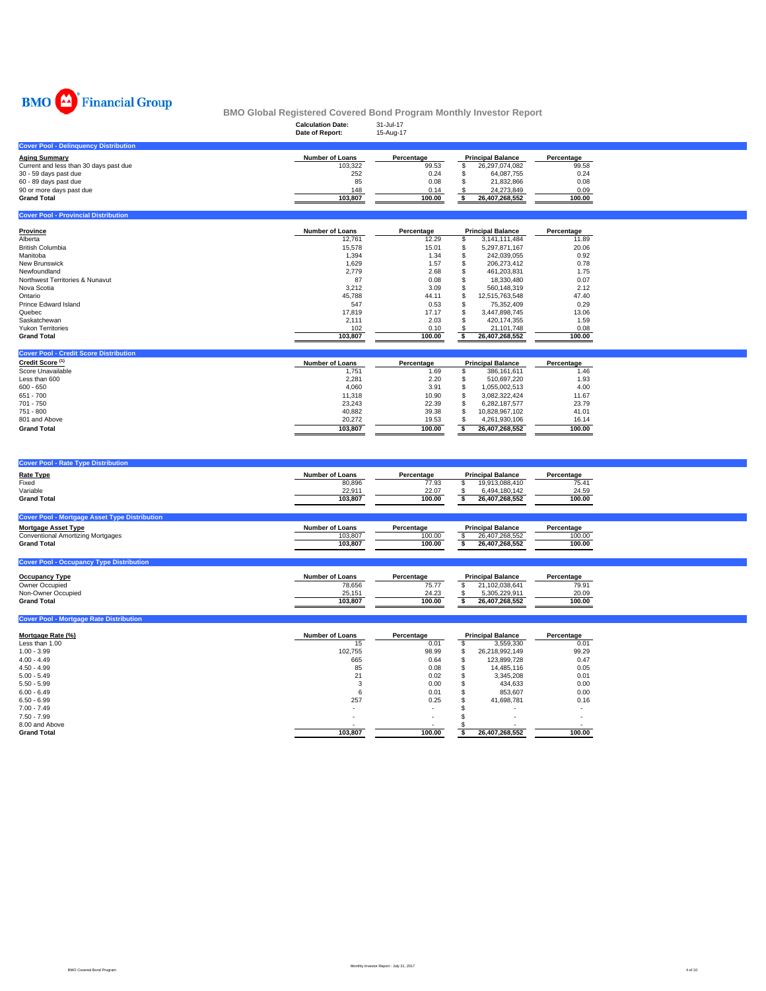

|                                              | <b>Calculation Date:</b><br>Date of Report: | 31-Jul-17<br>15-Aug-17 |                          |            |
|----------------------------------------------|---------------------------------------------|------------------------|--------------------------|------------|
| <b>Cover Pool - Delinguency Distribution</b> |                                             |                        |                          |            |
| <b>Aging Summary</b>                         | <b>Number of Loans</b>                      | Percentage             | <b>Principal Balance</b> | Percentage |
| Current and less than 30 days past due       | 103.322                                     | 99.53                  | 26,297,074,082           | 99.58      |
| 30 - 59 days past due                        | 252                                         | 0.24                   | 64.087.755               | 0.24       |
| 60 - 89 days past due                        | 85                                          | 0.08                   | 21.832.866               | 0.08       |
| 90 or more days past due                     | 148                                         | 0.14                   | 24.273.849               | 0.09       |
| <b>Grand Total</b>                           | 103,807                                     | 100.00                 | 26,407,268,552           | 100.00     |

| <b>Cover Pool - Provincial Distribution</b> |                        |            |                          |            |
|---------------------------------------------|------------------------|------------|--------------------------|------------|
| <b>Province</b>                             | <b>Number of Loans</b> | Percentage | <b>Principal Balance</b> | Percentage |
| Alberta                                     | 12,761                 | 12.29      | 3,141,111,484            | 11.89      |
| <b>British Columbia</b>                     | 15,578                 | 15.01      | 5,297,871,167            | 20.06      |
| Manitoba                                    | 1,394                  | 1.34       | 242.039.055              | 0.92       |
| New Brunswick                               | 1,629                  | 1.57       | 206.273.412              | 0.78       |
| Newfoundland                                | 2,779                  | 2.68       | 461.203.831              | 1.75       |
| Northwest Territories & Nunavut             | 87                     | 0.08       | 18.330.480               | 0.07       |
| Nova Scotia                                 | 3,212                  | 3.09       | 560.148.319              | 2.12       |
| Ontario                                     | 45,788                 | 44.11      | 12,515,763,548           | 47.40      |
| Prince Edward Island                        | 547                    | 0.53       | 75,352,409               | 0.29       |
| Quebec                                      | 17,819                 | 17.17      | 3,447,898,745            | 13.06      |
| Saskatchewan                                | 2,111                  | 2.03       | 420.174.355              | 1.59       |
| <b>Yukon Territories</b>                    | 102                    | 0.10       | 21,101,748               | 0.08       |
| <b>Grand Total</b>                          | 103,807                | 100.00     | 26,407,268,552           | 100.00     |
|                                             |                        |            |                          |            |

| <b>Cover Pool - Credit Score Distribution</b> |                        |            |                          |            |
|-----------------------------------------------|------------------------|------------|--------------------------|------------|
| Credit Score <sup>(1)</sup>                   | <b>Number of Loans</b> | Percentage | <b>Principal Balance</b> | Percentage |
| Score Unavailable                             | 1.751                  | 1.69       | 386.161.611              | 1.46       |
| Less than 600                                 | 2,281                  | 2.20       | 510.697.220              | 1.93       |
| $600 - 650$                                   | 4.060                  | 3.91       | 1.055.002.513            | 4.00       |
| $651 - 700$                                   | 11,318                 | 10.90      | 3.082.322.424            | 11.67      |
| $701 - 750$                                   | 23.243                 | 22.39      | 6.282.187.577            | 23.79      |
| 751 - 800                                     | 40.882                 | 39.38      | 10.828.967.102           | 41.01      |
| 801 and Above                                 | 20.272                 | 19.53      | 4.261.930.106            | 16.14      |
| <b>Grand Total</b>                            | 103.807                | 100.00     | 26.407.268.552           | 100.00     |
|                                               |                        |            |                          |            |

| <b>Cover Pool - Rate Type Distribution</b>           |                        |            |                          |            |
|------------------------------------------------------|------------------------|------------|--------------------------|------------|
| <b>Rate Type</b>                                     | <b>Number of Loans</b> | Percentage | <b>Principal Balance</b> | Percentage |
| Fixed                                                | 80,896                 | 77.93      | 19,913,088,410           | 75.41      |
| Variable                                             | 22,911                 | 22.07      | 6,494,180,142            | 24.59      |
| <b>Grand Total</b>                                   | 103.807                | 100.00     | 26,407,268,552           | 100.00     |
|                                                      |                        |            |                          |            |
| <b>Cover Pool - Mortgage Asset Type Distribution</b> |                        |            |                          |            |
| <b>Mortgage Asset Type</b>                           | <b>Number of Loans</b> | Percentage | <b>Principal Balance</b> | Percentage |
| <b>Conventional Amortizing Mortgages</b>             | 103.807                | 100.00     | 26,407,268,552           | 100.00     |
| <b>Grand Total</b>                                   | 103.807                | 100.00     | 26,407,268,552           | 100.00     |
|                                                      |                        |            |                          |            |
| <b>Cover Pool - Occupancy Type Distribution</b>      |                        |            |                          |            |

| <b>Occupancy Type</b> | <b>Number of Loans</b> | Percentage | <b>Principal Balance</b> | Percentage |
|-----------------------|------------------------|------------|--------------------------|------------|
| Owner Occupied        | 78,656                 | 75.77      | 21.102.038.641           | 79.91      |
| Non-Owner Occupied    | 25.151                 | 24.23      | 5.305.229.911            | 20.09      |
| <b>Grand Total</b>    | 103.807                | 100.00     | 26.407.268.552           | 100.00     |

| Mortgage Rate (%)  | <b>Number of Loans</b> | Percentage | <b>Principal Balance</b> |                | Percentage               |
|--------------------|------------------------|------------|--------------------------|----------------|--------------------------|
| Less than 1.00     | 15                     | 0.01       |                          | 3,559,330      | 0.01                     |
| $1.00 - 3.99$      | 102.755                | 98.99      | S                        | 26,218,992,149 | 99.29                    |
| $4.00 - 4.49$      | 665                    | 0.64       | J.                       | 123.899.728    | 0.47                     |
| $4.50 - 4.99$      | 85                     | 0.08       | J.                       | 14,485,116     | 0.05                     |
| $5.00 - 5.49$      | 21                     | 0.02       | л                        | 3,345,208      | 0.01                     |
| $5.50 - 5.99$      |                        | 0.00       |                          | 434,633        | 0.00                     |
| $6.00 - 6.49$      | 6                      | 0.01       |                          | 853.607        | 0.00                     |
| $6.50 - 6.99$      | 257                    | 0.25       |                          | 41.698.781     | 0.16                     |
| $7.00 - 7.49$      |                        |            |                          |                | $\overline{\phantom{a}}$ |
| $7.50 - 7.99$      | ۰                      | ۰          |                          |                |                          |
| 8.00 and Above     |                        |            |                          |                |                          |
| <b>Grand Total</b> | 103.807                | 100.00     |                          | 26.407.268.552 | 100.00                   |

**Cover Pool - Mortgage Rate Distribution**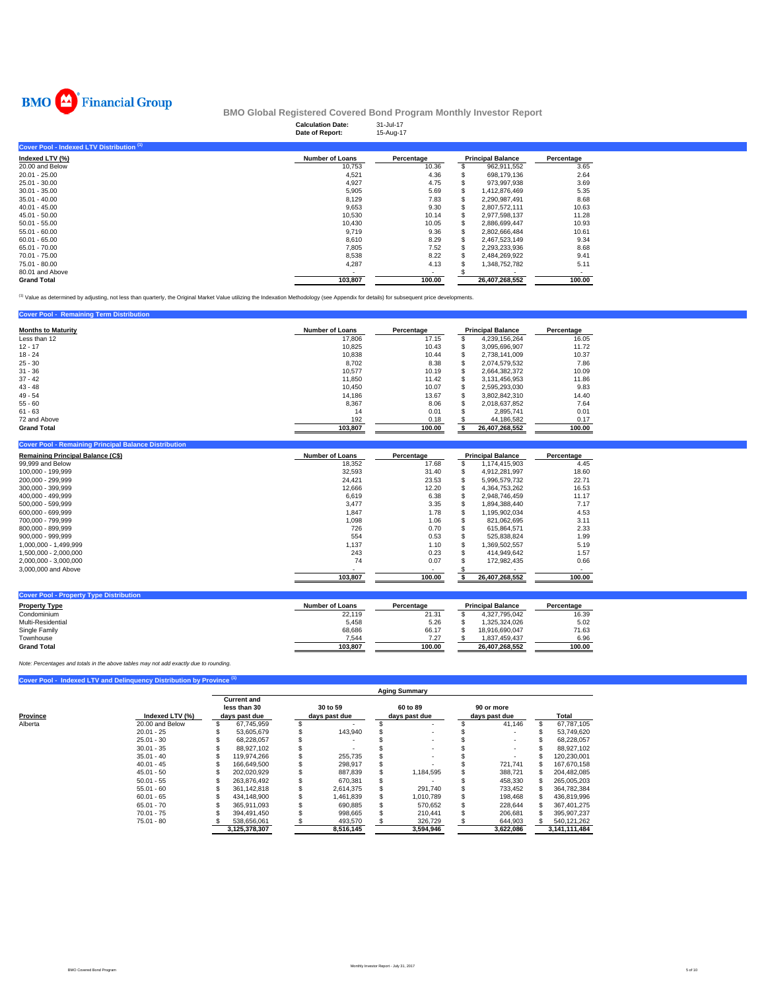

|                                           | <b>Calculation Date:</b><br>Date of Report: | 31-Jul-17<br>15-Aug-17 |                          |                |            |
|-------------------------------------------|---------------------------------------------|------------------------|--------------------------|----------------|------------|
| Cover Pool - Indexed LTV Distribution (1) |                                             |                        |                          |                |            |
| Indexed LTV (%)                           | <b>Number of Loans</b>                      | Percentage             | <b>Principal Balance</b> |                | Percentage |
| 20,00 and Below                           | 10,753                                      | 10.36                  |                          | 962,911,552    | 3.65       |
| $20.01 - 25.00$                           | 4,521                                       | 4.36                   |                          | 698,179,136    | 2.64       |
| $25.01 - 30.00$                           | 4,927                                       | 4.75                   |                          | 973.997.938    | 3.69       |
| $30.01 - 35.00$                           | 5,905                                       | 5.69                   |                          | 1.412.876.469  | 5.35       |
| $35.01 - 40.00$                           | 8,129                                       | 7.83                   |                          | 2,290,987,491  | 8.68       |
| $40.01 - 45.00$                           | 9,653                                       | 9.30                   |                          | 2,807,572,111  | 10.63      |
| 45.01 - 50.00                             | 10,530                                      | 10.14                  |                          | 2,977,598,137  | 11.28      |
| $50.01 - 55.00$                           | 10,430                                      | 10.05                  |                          | 2,886,699,447  | 10.93      |
| $55.01 - 60.00$                           | 9.719                                       | 9.36                   |                          | 2,802,666,484  | 10.61      |
| $60.01 - 65.00$                           | 8,610                                       | 8.29                   |                          | 2,467,523,149  | 9.34       |
| 65.01 - 70.00                             | 7,805                                       | 7.52                   |                          | 2,293,233,936  | 8.68       |
| 70.01 - 75.00                             | 8,538                                       | 8.22                   |                          | 2,484,269,922  | 9.41       |
| 75.01 - 80.00                             | 4,287                                       | 4.13                   |                          | 1,348,752,782  | 5.11       |
| 80.01 and Above                           |                                             |                        |                          |                |            |
| <b>Grand Total</b>                        | 103,807                                     | 100.00                 |                          | 26.407.268.552 | 100.00     |

(1) Value as determined by adjusting, not less than quarterly, the Original Market Value utilizing the Indexation Methodology (see Appendix for details) for subsequent price developments.

### **Cover Pool - Remaining Term Distribution**

| <b>Months to Maturity</b> | <b>Number of Loans</b> | Percentage |    | <b>Principal Balance</b> | Percentage |
|---------------------------|------------------------|------------|----|--------------------------|------------|
| Less than 12              | 17,806                 | 17.15      | a. | 4,239,156,264            | 16.05      |
| $12 - 17$                 | 10,825                 | 10.43      | £. | 3,095,696,907            | 11.72      |
| $18 - 24$                 | 10,838                 | 10.44      | S  | 2.738.141.009            | 10.37      |
| $25 - 30$                 | 8.702                  | 8.38       | S  | 2.074.579.532            | 7.86       |
| $31 - 36$                 | 10.577                 | 10.19      | £. | 2.664.382.372            | 10.09      |
| $37 - 42$                 | 11,850                 | 11.42      | S  | 3.131.456.953            | 11.86      |
| $43 - 48$                 | 10.450                 | 10.07      | £. | 2.595.293.030            | 9.83       |
| $49 - 54$                 | 14.186                 | 13.67      | S  | 3.802.842.310            | 14.40      |
| $55 - 60$                 | 8,367                  | 8.06       | S  | 2.018.637.852            | 7.64       |
| $61 - 63$                 | 14                     | 0.01       | S  | 2.895.741                | 0.01       |
| 72 and Above              | 192                    | 0.18       |    | 44,186,582               | 0.17       |
| <b>Grand Total</b>        | 103,807                | 100.00     |    | 26,407,268,552           | 100.00     |

| <b>Cover Pool - Remaining Principal Balance Distribution</b> |                        |            |                          |                |            |
|--------------------------------------------------------------|------------------------|------------|--------------------------|----------------|------------|
| <b>Remaining Principal Balance (C\$)</b>                     | <b>Number of Loans</b> | Percentage | <b>Principal Balance</b> |                | Percentage |
| 99,999 and Below                                             | 18,352                 | 17.68      |                          | 1,174,415,903  | 4.45       |
| 100,000 - 199,999                                            | 32,593                 | 31.40      | S.                       | 4.912.281.997  | 18.60      |
| 200.000 - 299.999                                            | 24,421                 | 23.53      |                          | 5.996.579.732  | 22.71      |
| 300,000 - 399,999                                            | 12,666                 | 12.20      |                          | 4,364,753,262  | 16.53      |
| 400,000 - 499,999                                            | 6,619                  | 6.38       | S                        | 2.948.746.459  | 11.17      |
| 500.000 - 599.999                                            | 3,477                  | 3.35       |                          | 1.894.388.440  | 7.17       |
| 600.000 - 699.999                                            | 1,847                  | 1.78       | S.                       | 1.195.902.034  | 4.53       |
| 700.000 - 799.999                                            | 1,098                  | 1.06       | s                        | 821.062.695    | 3.11       |
| 800,000 - 899,999                                            | 726                    | 0.70       |                          | 615.864.571    | 2.33       |
| $900.000 - 999.999$                                          | 554                    | 0.53       |                          | 525,838,824    | 1.99       |
| 1.000.000 - 1.499.999                                        | 1.137                  | 1.10       |                          | .369.502.557   | 5.19       |
| 1,500,000 - 2,000,000                                        | 243                    | 0.23       | S                        | 414.949.642    | 1.57       |
| 2,000,000 - 3,000,000                                        | 74                     | 0.07       |                          | 172,982,435    | 0.66       |
| 3,000,000 and Above                                          |                        |            |                          |                | ۰.         |
|                                                              | 103,807                | 100.00     |                          | 26,407,268,552 | 100.00     |
|                                                              |                        |            |                          |                |            |

| <b>Cover Pool - Property Type Distribution</b> |                 |            |                          |            |
|------------------------------------------------|-----------------|------------|--------------------------|------------|
| <b>Property Type</b>                           | Number of Loans | Percentage | <b>Principal Balance</b> | Percentage |
| Condominium                                    | 22,119          | 21.31      | 4.327.795.042            | 16.39      |
| Multi-Residential                              | 5.458           | 5.26       | 1.325.324.026            | 5.02       |
| Single Family                                  | 68.686          | 66.17      | 18.916.690.047           | 71.63      |
| Townhouse                                      | 7.544           | 7.27       | 1.837.459.437            | 6.96       |
| <b>Grand Total</b>                             | 103.807         | 100.00     | 26.407.268.552           | 100.00     |

*Note: Percentages and totals in the above tables may not add exactly due to rounding.*

## **Cover Pool - Indexed LTV and Delinquency Distribution by Province (1)**

|              |                 | <b>Aging Summary</b>                                |  |  |                           |  |                           |                             |           |  |               |
|--------------|-----------------|-----------------------------------------------------|--|--|---------------------------|--|---------------------------|-----------------------------|-----------|--|---------------|
| Province     | Indexed LTV (%) | <b>Current and</b><br>less than 30<br>days past due |  |  | 30 to 59<br>days past due |  | 60 to 89<br>days past due | 90 or more<br>days past due |           |  | Total         |
| Alberta      | 20,00 and Below | 67.745.959                                          |  |  |                           |  |                           |                             | 41.146    |  | 67.787.105    |
| $20.01 - 25$ |                 | 53,605,679                                          |  |  | 143,940                   |  | ۰                         |                             |           |  | 53,749,620    |
| $25.01 - 30$ |                 | 68.228.057                                          |  |  |                           |  | ٠                         |                             |           |  | 68,228,057    |
| $30.01 - 35$ |                 | 88.927.102                                          |  |  |                           |  | ۰                         |                             |           |  | 88.927.102    |
| $35.01 - 40$ |                 | 119.974.266                                         |  |  | 255,735                   |  |                           |                             |           |  | 120,230,001   |
| $40.01 - 45$ |                 | 166.649.500                                         |  |  | 298,917                   |  |                           |                             | 721.741   |  | 167,670,158   |
| $45.01 - 50$ |                 | 202.020.929                                         |  |  | 887,839                   |  | 1.184.595                 |                             | 388.721   |  | 204,482,085   |
| $50.01 - 55$ |                 | 263.876.492                                         |  |  | 670,381                   |  |                           |                             | 458,330   |  | 265,005,203   |
| $55.01 - 60$ |                 | 361.142.818                                         |  |  | 2.614.375                 |  | 291.740                   |                             | 733.452   |  | 364,782,384   |
| $60.01 - 65$ |                 | 434.148.900                                         |  |  | 1.461.839                 |  | 1,010,789                 |                             | 198.468   |  | 436,819,996   |
| $65.01 - 70$ |                 | 365.911.093                                         |  |  | 690,885                   |  | 570,652                   |                             | 228.644   |  | 367.401.275   |
| $70.01 - 75$ |                 | 394.491.450                                         |  |  | 998,665                   |  | 210.441                   |                             | 206.681   |  | 395,907,237   |
| $75.01 - 80$ |                 | 538,656,061                                         |  |  | 493,570                   |  | 326,729                   |                             | 644,903   |  | 540,121,262   |
|              |                 | 3,125,378,307                                       |  |  | 8,516,145                 |  | 3,594,946                 |                             | 3,622,086 |  | 3,141,111,484 |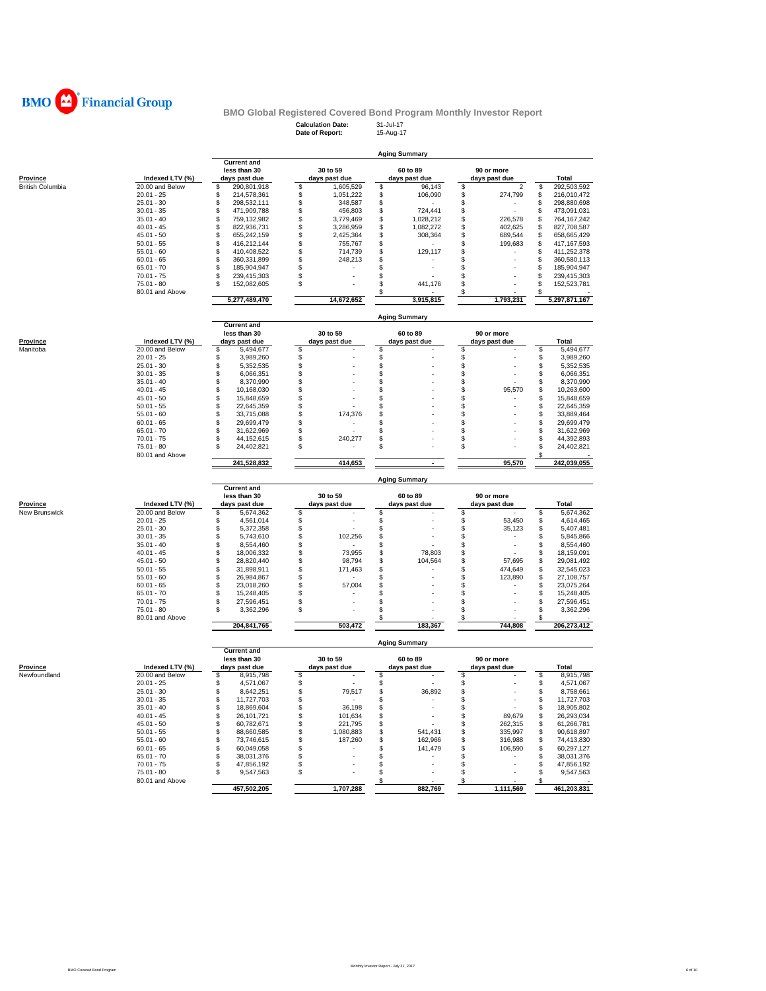

# **Calculation Date:** 31-Jul-17 **Date of Report:** 15-Aug-17 **BMO Global Registered Covered Bond Program Monthly Investor Report**<br>Calculation Date: 31-Jul-17<br>Date of Report: 15-Aug-17

|                         |                 |                    |                 | <b>Aging Summary</b> |                      |                     |
|-------------------------|-----------------|--------------------|-----------------|----------------------|----------------------|---------------------|
|                         |                 | <b>Current and</b> |                 |                      |                      |                     |
|                         |                 | less than 30       | 30 to 59        | 60 to 89             | 90 or more           |                     |
| Province                | Indexed LTV (%) | days past due      | days past due   | days past due        | days past due        | <b>Total</b>        |
| <b>British Columbia</b> | 20.00 and Below | \$<br>290,801,918  | \$<br>1,605,529 | \$<br>96,143         | \$<br>$\overline{c}$ | \$<br>292,503,592   |
|                         | $20.01 - 25$    | \$<br>214,578,361  | \$<br>1,051,222 | \$<br>106,090        | \$<br>274,799        | \$<br>216,010,472   |
|                         | $25.01 - 30$    | \$<br>298,532,111  | \$<br>348,587   | \$                   | \$                   | \$<br>298,880,698   |
|                         | $30.01 - 35$    | \$<br>471,909,788  | \$<br>456,803   | \$<br>724,441        | \$                   | \$<br>473,091,031   |
|                         | $35.01 - 40$    | \$<br>759,132,982  | \$<br>3,779,469 | \$<br>1,028,212      | \$<br>226,578        | \$<br>764,167,242   |
|                         | $40.01 - 45$    | \$<br>822,936,731  | \$<br>3,286,959 | \$<br>1,082,272      | \$<br>402,625        | \$<br>827,708,587   |
|                         | $45.01 - 50$    | \$<br>655,242,159  | \$<br>2,425,364 | \$<br>308,364        | \$<br>689,544        | \$<br>658,665,429   |
|                         | $50.01 - 55$    | \$<br>416,212,144  | \$<br>755,767   | \$                   | \$<br>199,683        | \$<br>417, 167, 593 |
|                         | $55.01 - 60$    | \$<br>410,408,522  | \$<br>714,739   | \$<br>129,117        | \$                   | \$<br>411,252,378   |
|                         | $60.01 - 65$    | \$<br>360,331,899  | \$<br>248,213   | \$                   | \$                   | \$<br>360,580,113   |
|                         | $65.01 - 70$    | \$<br>185,904,947  | \$              | \$                   | \$                   | \$<br>185,904,947   |
|                         | $70.01 - 75$    | \$<br>239,415,303  | \$              | \$                   | \$                   | \$<br>239,415,303   |
|                         | $75.01 - 80$    | \$<br>152,082,605  | S               | \$<br>441,176        | \$                   | \$<br>152,523,781   |
|                         | 80.01 and Above |                    |                 | \$                   | \$                   | S                   |
|                         |                 | 5,277,489,470      | 14,672,652      | 3,915,815            | 1,793,231            | 5,297,871,167       |
|                         |                 |                    |                 | <b>Aging Summary</b> |                      |                     |
|                         |                 | <b>Current and</b> |                 |                      |                      |                     |
|                         |                 | less than 30       | 30 to 59        | 60 to 89             | 90 or more           |                     |
| Province                | Indexed LTV (%) | days past due      | days past due   | days past due        | days past due        | Total               |
| Manitoba                | 20.00 and Below | \$<br>5,494,677    | \$              | \$                   | \$                   | \$<br>5,494,677     |
|                         | $20.01 - 25$    | \$<br>3,989,260    | \$              | \$                   | \$                   | \$<br>3,989,260     |
|                         | $25.01 - 30$    | \$<br>5,352,535    | \$              | \$                   | \$                   | \$<br>5,352,535     |
|                         | $30.01 - 35$    | \$<br>6,066,351    | \$              | \$                   | \$                   | \$<br>6,066,351     |
|                         | $35.01 - 40$    | \$<br>8,370,990    | \$              | \$                   | \$                   | \$<br>8,370,990     |
|                         | $40.01 - 45$    | \$<br>10,168,030   | Ŝ               | \$                   | S<br>95,570          | \$<br>10,263,600    |
|                         | $45.01 - 50$    | \$<br>15,848,659   | \$              | \$                   | \$                   | \$<br>15,848,659    |
|                         | $50.01 - 55$    | \$<br>22,645,359   | \$              | \$                   | \$                   | S<br>22,645,359     |
|                         | $55.01 - 60$    | \$<br>33,715,088   | \$<br>174,376   | \$                   | \$                   | S<br>33,889,464     |
|                         | $60.01 - 65$    | \$<br>29,699,479   | \$              | \$                   | \$                   | \$<br>29,699,479    |
|                         | $65.01 - 70$    | \$<br>31,622,969   | \$              | \$                   | \$                   | \$<br>31,622,969    |
|                         | $70.01 - 75$    | \$<br>44,152,615   | \$<br>240,277   | \$                   | \$                   | \$<br>44,392,893    |
|                         | $75.01 - 80$    | \$<br>24,402,821   | \$              | \$                   | \$                   | \$<br>24,402,821    |
|                         | 80.01 and Above |                    |                 |                      |                      |                     |
|                         |                 | 241,528,832        | 414,653         | $\sim$               | 95,570               | 242,039,055         |
|                         |                 |                    |                 | <b>Aging Summary</b> |                      |                     |
|                         |                 | <b>Current and</b> |                 |                      |                      |                     |
|                         |                 | less than 30       | 30 to 59        | 60 to 89             | 90 or more           |                     |
| Province                | Indexed LTV (%) | days past due      | days past due   | days past due        | days past due        | Total               |
| New Brunswick           | 20.00 and Below | \$<br>5,674,362    | \$              | \$                   | \$                   | \$<br>5,674,362     |
|                         | $20.01 - 25$    | \$<br>4,561,014    | \$              | \$                   | \$<br>53,450         | \$<br>4,614,465     |
|                         | $25.01 - 30$    | \$<br>5,372,358    | \$              | \$                   | \$<br>35,123         | \$<br>5,407,481     |
|                         | $30.01 - 35$    | \$<br>5,743,610    | \$<br>102,256   | \$                   | \$                   | \$<br>5,845,866     |
|                         | $35.01 - 40$    | \$<br>8,554,460    | \$              | \$                   | \$                   | \$<br>8,554,460     |
|                         | $40.01 - 45$    | \$<br>18,006,332   | \$<br>73,955    | \$<br>78,803         | \$                   | \$<br>18,159,091    |
|                         | $45.01 - 50$    | \$<br>28,820,440   | \$<br>98,794    | \$<br>104,564        | \$<br>57,695         | \$<br>29,081,492    |
|                         | $50.01 - 55$    | \$<br>31,898,911   | \$<br>171,463   | \$                   | \$<br>474,649        | \$<br>32,545,023    |
|                         | $55.01 - 60$    | \$<br>26,984,867   | \$              | \$                   | \$<br>123,890        | \$<br>27,108,757    |
|                         | $60.01 - 65$    | \$<br>23,018,260   | \$<br>57,004    | \$                   | \$                   | S<br>23,075,264     |
|                         | $65.01 - 70$    | \$<br>15,248,405   | \$              | \$.                  | \$                   | \$<br>15,248,405    |
|                         | $70.01 - 75$    | \$<br>27,596,451   | \$              | \$                   | \$                   | S<br>27,596,451     |
|                         | $75.01 - 80$    | £.<br>3,362,296    | Ŝ               | \$                   | \$                   | S<br>3,362,296      |
|                         | 80.01 and Above |                    |                 | \$                   | \$                   | \$                  |
|                         |                 | 204,841,765        | 503,472         | 183,367              | 744,808              | 206,273,412         |
|                         |                 |                    |                 |                      |                      |                     |

| Province     |   |
|--------------|---|
| Newfoundland | ٠ |
|              | ٠ |
|              |   |
|              |   |
|              |   |
|              | ź |
|              |   |
|              |   |

| Province     | Indexed LTV (%) | days past due |             | days past due |           |  | days past due | days past due | Total |             |  |
|--------------|-----------------|---------------|-------------|---------------|-----------|--|---------------|---------------|-------|-------------|--|
| Newfoundland | 20.00 and Below |               | 8.915.798   |               |           |  |               |               |       | 8.915.798   |  |
|              | $20.01 - 25$    |               | 4.571.067   |               |           |  |               |               |       | 4.571.067   |  |
|              | $25.01 - 30$    |               | 8.642.251   |               | 79.517    |  | 36.892        |               |       | 8.758.661   |  |
|              | $30.01 - 35$    |               | 11.727.703  |               |           |  |               |               |       | 11.727.703  |  |
|              | $35.01 - 40$    |               | 18.869.604  |               | 36.198    |  |               |               |       | 18,905,802  |  |
|              | $40.01 - 45$    |               | 26.101.721  |               | 101.634   |  | $\sim$        | 89.679        |       | 26.293.034  |  |
|              | $45.01 - 50$    |               | 60.782.671  |               | 221.795   |  |               | 262.315       |       | 61.266.781  |  |
|              | $50.01 - 55$    |               | 88.660.585  |               | 1.080.883 |  | 541.431       | 335.997       |       | 90.618.897  |  |
|              | $55.01 - 60$    |               | 73.746.615  |               | 187,260   |  | 162,966       | 316.988       |       | 74.413.830  |  |
|              | $60.01 - 65$    |               | 60.049.058  |               |           |  | 141.479       | 106.590       |       | 60.297.127  |  |
|              | $65.01 - 70$    |               | 38.031.376  |               |           |  |               |               |       | 38.031.376  |  |
|              | $70.01 - 75$    |               | 47.856.192  |               |           |  |               |               |       | 47.856.192  |  |
|              | $75.01 - 80$    |               | 9.547.563   |               |           |  |               |               |       | 9.547.563   |  |
|              | 80.01 and Above |               |             |               |           |  |               |               |       |             |  |
|              |                 |               | 457.502.205 |               | 1.707.288 |  | 882,769       | 1.111.569     |       | 461.203.831 |  |

**Current and less than 30 30 to 59 60 to 89 90 or more**

**Aging Summary**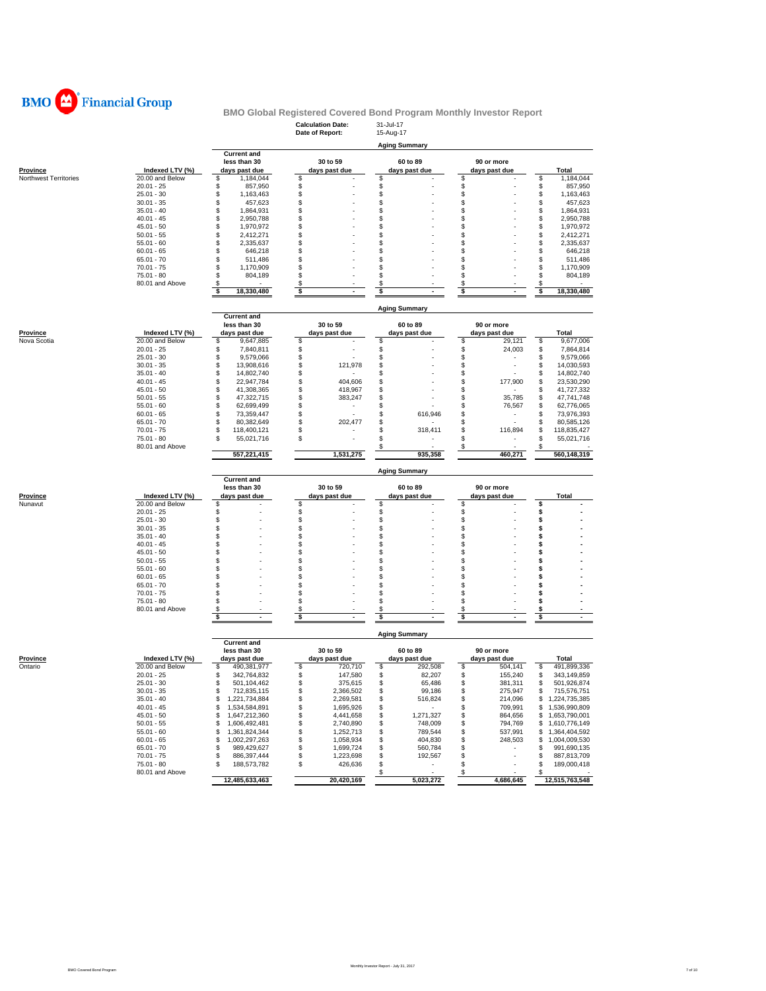

|                            |                                    |                                      | <b>Calculation Date:</b><br>Date of Report: | 31-Jul-17<br>15-Aug-17         |                                |                                      |
|----------------------------|------------------------------------|--------------------------------------|---------------------------------------------|--------------------------------|--------------------------------|--------------------------------------|
|                            |                                    |                                      |                                             | <b>Aging Summary</b>           |                                |                                      |
|                            |                                    | <b>Current and</b><br>less than 30   | 30 to 59                                    | 60 to 89                       | 90 or more                     |                                      |
| Province                   | Indexed LTV (%)                    | days past due                        | days past due                               | days past due                  | days past due                  | Total                                |
| Northwest Territories      | 20.00 and Below                    | \$<br>1,184,044                      | \$                                          | \$                             | \$                             | \$<br>1,184,044                      |
|                            | $20.01 - 25$                       | 857,950<br>\$                        | \$                                          | \$                             | \$                             | \$<br>857,950                        |
|                            | $25.01 - 30$                       | \$<br>1,163,463                      | \$                                          | \$                             | \$                             | \$<br>1,163,463                      |
|                            | $30.01 - 35$                       | \$<br>457,623<br>1,864,931           | Ŝ<br>\$                                     | \$<br>\$                       | \$<br>\$                       | \$<br>457,623                        |
|                            | $35.01 - 40$<br>$40.01 - 45$       | \$<br>\$<br>2,950,788                | \$                                          | \$                             | \$                             | \$<br>1,864,931<br>\$<br>2,950,788   |
|                            | $45.01 - 50$                       | \$<br>1,970,972                      | \$                                          | \$                             | \$                             | \$<br>1,970,972                      |
|                            | $50.01 - 55$                       | \$<br>2,412,271                      | \$                                          | \$                             | \$                             | \$<br>2,412,271                      |
|                            | $55.01 - 60$                       | \$<br>2,335,637                      | S                                           | \$                             | S                              | \$<br>2,335,637                      |
|                            | $60.01 - 65$                       | \$<br>646,218                        | S                                           | \$                             | \$                             | \$<br>646,218                        |
|                            | $65.01 - 70$                       | \$<br>511,486                        | S                                           | \$                             | \$                             | \$<br>511,486                        |
|                            | $70.01 - 75$<br>$75.01 - 80$       | \$<br>1,170,909<br>\$<br>804,189     | S<br>S                                      | \$<br>\$                       | \$<br>\$                       | \$<br>1,170,909<br>\$<br>804,189     |
|                            | 80.01 and Above                    | \$                                   | \$                                          | \$                             | \$                             | \$                                   |
|                            |                                    | \$<br>18,330,480                     | \$                                          | \$                             | \$                             | \$<br>18,330,480                     |
|                            |                                    |                                      |                                             |                                |                                |                                      |
|                            |                                    | <b>Current and</b>                   |                                             | <b>Aging Summary</b>           |                                |                                      |
|                            |                                    | less than 30                         | 30 to 59                                    | 60 to 89                       | 90 or more                     |                                      |
| <u>Province</u>            | Indexed LTV (%)                    | days past due                        | days past due                               | days past due                  | days past due                  | Total                                |
| Nova Scotia                | 20.00 and Below                    | 9,647,885<br>\$                      | \$                                          | \$                             | 29,121<br>\$                   | \$<br>9,677,006                      |
|                            | $20.01 - 25$                       | \$<br>7,840,811                      | \$                                          | \$                             | \$<br>24,003                   | \$<br>7,864,814                      |
|                            | $25.01 - 30$                       | \$<br>9,579,066                      | \$                                          | \$                             | \$                             | \$<br>9,579,066                      |
|                            | $30.01 - 35$<br>$35.01 - 40$       | \$<br>13,908,616                     | \$<br>121,978<br>\$                         | \$                             | \$<br>\$                       | \$<br>14,030,593                     |
|                            | $40.01 - 45$                       | \$<br>14,802,740<br>\$<br>22,947,784 | \$<br>404,606                               | \$<br>\$                       | \$<br>177,900                  | \$<br>14,802,740<br>\$<br>23,530,290 |
|                            | $45.01 - 50$                       | \$<br>41,308,365                     | \$<br>418,967                               | \$                             | \$                             | \$<br>41,727,332                     |
|                            | $50.01 - 55$                       | \$<br>47,322,715                     | \$<br>383,247                               | \$                             | \$<br>35,785                   | \$<br>47,741,748                     |
|                            | $55.01 - 60$                       | \$<br>62,699,499                     | \$                                          | \$                             | \$<br>76,567                   | \$<br>62,776,065                     |
|                            | $60.01 - 65$                       | \$<br>73,359,447                     | \$                                          | \$<br>616,946                  | \$                             | \$<br>73,976,393                     |
|                            | $65.01 - 70$                       | \$<br>80,382,649                     | \$<br>202,477                               | \$                             | \$                             | \$<br>80,585,126                     |
|                            | $70.01 - 75$                       | \$<br>118,400,121                    | \$                                          | \$<br>318,411                  | \$<br>116,894                  | \$<br>118,835,427                    |
|                            | 75.01 - 80<br>80.01 and Above      | \$<br>55,021,716                     | S                                           | \$<br>\$                       | \$<br>×<br>\$                  | S<br>55,021,716<br>S                 |
|                            |                                    | 557,221,415                          | 1,531,275                                   | 935,358                        | 460,271                        | 560,148,319                          |
|                            |                                    |                                      |                                             |                                |                                |                                      |
|                            |                                    | <b>Current and</b>                   |                                             | <b>Aging Summary</b>           |                                |                                      |
|                            |                                    | less than 30                         | 30 to 59                                    | 60 to 89                       | 90 or more                     |                                      |
| <b>Province</b><br>Nunavut | Indexed LTV (%)<br>20.00 and Below | days past due<br>\$                  | days past due<br>\$                         | days past due<br>\$            | days past due<br>\$            | Total<br>\$                          |
|                            | $20.01 - 25$                       | \$                                   | \$                                          | \$                             | \$                             | \$                                   |
|                            | $25.01 - 30$                       | \$                                   | \$                                          | \$                             | \$                             | \$                                   |
|                            | $30.01 - 35$                       | \$                                   | \$                                          | \$                             | \$                             | \$                                   |
|                            | $35.01 - 40$                       | \$                                   | S                                           | \$                             | \$                             | \$                                   |
|                            | $40.01 - 45$                       | \$                                   | S                                           | \$                             | \$                             | \$                                   |
|                            | $45.01 - 50$                       | \$                                   | S                                           | \$                             | \$                             | \$                                   |
|                            | $50.01 - 55$                       | \$                                   | S<br>S                                      | \$                             | \$<br>\$                       | \$                                   |
|                            | $55.01 - 60$<br>$60.01 - 65$       | \$<br>\$                             | S                                           | \$<br>\$                       | \$                             | \$<br>\$                             |
|                            | $65.01 - 70$                       | S                                    | S                                           | \$                             | \$                             | \$                                   |
|                            | $70.01 - 75$                       | \$                                   | \$                                          | \$                             | \$                             | \$                                   |
|                            | 75.01 - 80                         | \$                                   | \$                                          | \$                             | \$                             | \$                                   |
|                            | 80.01 and Above                    | \$                                   | \$                                          | \$                             | \$                             | \$                                   |
|                            |                                    | \$<br>÷                              | \$<br>÷                                     | \$                             | \$<br>÷.                       | \$                                   |
|                            |                                    |                                      |                                             | <b>Aging Summary</b>           |                                |                                      |
|                            |                                    | <b>Current and</b><br>less than 30   | 30 to 59                                    | 60 to 89                       | 90 or more                     |                                      |
| <u>Province</u>            | Indexed LTV (%)                    | days past due                        | days past due                               | days past due                  | days past due                  | Total                                |
| Ontario                    | 20.00 and Below                    | \$<br>490,381,977                    | \$<br>720,710                               | \$<br>292,508                  | \$<br>504,141                  | 491,899,336<br>\$                    |
|                            | $20.01 - 25$                       | \$<br>342,764,832                    | \$<br>147,580                               | \$<br>82,207                   | \$<br>155,240                  | \$<br>343,149,859                    |
|                            | 25.01 - 30                         | D<br>501,104,462                     | Ъ<br>3/5,615                                | ৬<br>65,486                    | \$<br>381,311                  | \$<br>501,926,874                    |
|                            | $30.01 - 35$                       | \$<br>712,835,115                    | \$<br>2,366,502                             | \$<br>99,186                   | \$<br>275,947                  | \$<br>715,576,751                    |
|                            | $35.01 - 40$                       | \$<br>1,221,734,884                  | \$<br>2,269,581                             | \$<br>516,824                  | \$<br>214,096                  | \$1,224,735,385                      |
|                            | $40.01 - 45$                       | \$<br>1,534,584,891                  | \$<br>1,695,926                             | \$<br>$\sim$                   | \$<br>709,991                  | \$1,536,990,809                      |
|                            | $45.01 - 50$                       | \$<br>1,647,212,360                  | 4,441,658<br>\$                             | 1,271,327<br>\$                | 864,656<br>\$                  | \$1,653,790,001                      |
|                            | $50.01 - 55$<br>$55.01 - 60$       | \$<br>1,606,492,481<br>\$            | \$<br>2,740,890<br>\$                       | \$<br>748,009<br>\$<br>789,544 | \$<br>794,769<br>\$<br>537,991 | 1,610,776,149<br>\$                  |
|                            | $60.01 - 65$                       | 1,361,824,344<br>\$<br>1,002,297,263 | 1,252,713<br>\$<br>1,058,934                | \$<br>404,830                  | \$<br>248,503                  | \$1,364,404,592<br>\$1,004,009,530   |
|                            | $65.01 - 70$                       | \$<br>989,429,627                    | \$<br>1,699,724                             | \$<br>560,784                  | \$<br>٠                        | \$<br>991,690,135                    |
|                            | $70.01 - 75$                       | \$<br>886,397,444                    | \$<br>1,223,698                             | \$<br>192,567                  | \$                             | \$<br>887,813,709                    |
|                            | 75.01 - 80                         | \$<br>188,573,782                    | \$<br>426,636                               | \$<br>$\sim$                   | \$                             | \$<br>189,000,418                    |
|                            | 80.01 and Above                    |                                      |                                             | $\mathbf{\hat{s}}$             | $\sqrt{3}$                     | \$                                   |
|                            |                                    | 12,485,633,463                       | 20,420,169                                  | 5,023,272                      | 4,686,645                      | 12,515,763,548                       |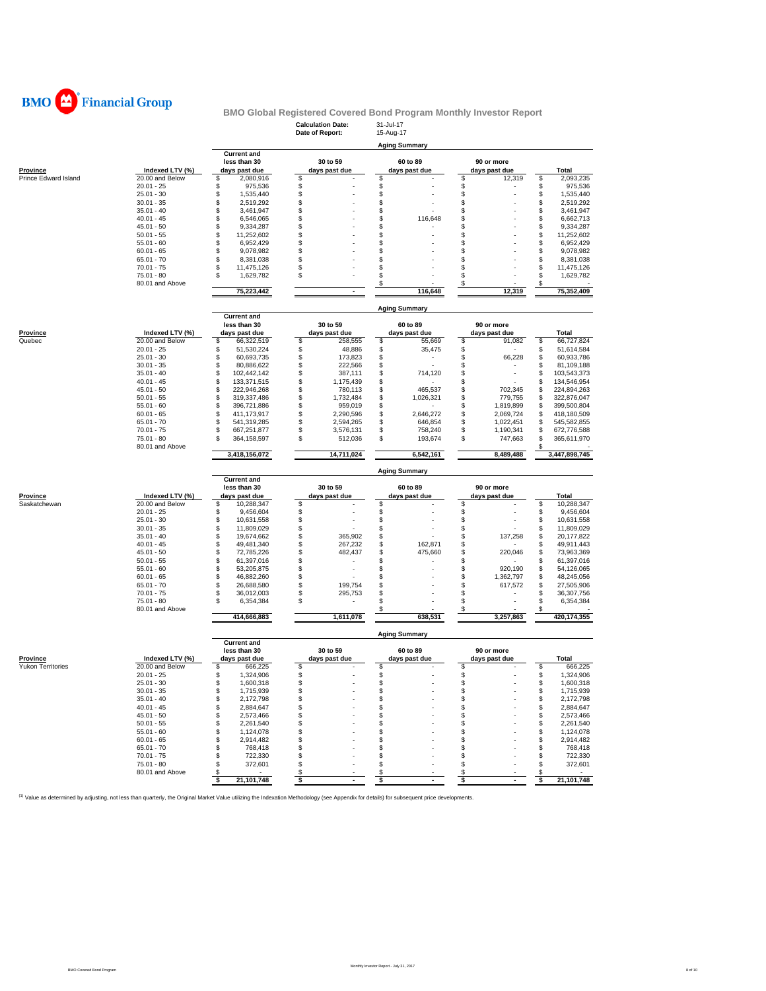

|                          |                                 |                                      | <b>Calculation Date:</b><br>Date of Report: | 31-Jul-17<br>15-Aug-17 |                             |                                      |
|--------------------------|---------------------------------|--------------------------------------|---------------------------------------------|------------------------|-----------------------------|--------------------------------------|
|                          |                                 |                                      |                                             |                        |                             |                                      |
|                          |                                 | <b>Current and</b>                   |                                             | <b>Aging Summary</b>   |                             |                                      |
|                          |                                 | less than 30                         | 30 to 59                                    | 60 to 89               | 90 or more                  |                                      |
| Province                 | Indexed LTV (%)                 | days past due                        | days past due                               | days past due          | days past due               | <b>Total</b>                         |
| Prince Edward Island     | 20.00 and Below<br>$20.01 - 25$ | \$<br>2,080,916<br>\$                | \$                                          | \$                     | \$<br>12,319                | \$<br>2,093,235                      |
|                          | $25.01 - 30$                    | 975,536<br>\$<br>1,535,440           | \$<br>\$                                    | \$<br>\$               | \$<br>\$                    | \$<br>975,536<br>\$<br>1,535,440     |
|                          | $30.01 - 35$                    | \$<br>2,519,292                      | \$                                          | \$                     | \$                          | \$<br>2,519,292                      |
|                          | $35.01 - 40$                    | \$<br>3,461,947                      | \$                                          | \$                     | \$                          | \$<br>3,461,947                      |
|                          | $40.01 - 45$                    | \$<br>6,546,065                      | \$                                          | \$<br>116,648          | \$                          | \$<br>6,662,713                      |
|                          | $45.01 - 50$                    | \$<br>9,334,287                      | \$                                          | \$                     | \$                          | \$<br>9,334,287                      |
|                          | $50.01 - 55$                    | \$<br>11,252,602                     | \$                                          | \$                     | \$                          | \$<br>11,252,602                     |
|                          | $55.01 - 60$                    | \$<br>6,952,429                      | \$                                          | \$                     | \$                          | \$<br>6,952,429                      |
|                          | $60.01 - 65$                    | \$<br>9,078,982                      | \$                                          | \$                     | \$                          | \$<br>9,078,982                      |
|                          | $65.01 - 70$                    | \$<br>8,381,038                      | \$                                          | \$                     | \$                          | \$<br>8,381,038                      |
|                          | $70.01 - 75$                    | \$<br>11,475,126                     | \$                                          | \$                     | \$                          | \$<br>11,475,126                     |
|                          | $75.01 - 80$                    | \$<br>1,629,782                      | \$                                          | \$                     | \$                          | \$<br>1,629,782                      |
|                          | 80.01 and Above                 | 75,223,442                           | $\blacksquare$                              | \$<br>116,648          | \$<br>12,319                | \$<br>75,352,409                     |
|                          |                                 |                                      |                                             |                        |                             |                                      |
|                          |                                 |                                      |                                             | <b>Aging Summary</b>   |                             |                                      |
|                          |                                 | <b>Current and</b>                   |                                             |                        |                             |                                      |
|                          |                                 | less than 30                         | 30 to 59                                    | 60 to 89               | 90 or more                  |                                      |
| <b>Province</b>          | Indexed LTV (%)                 | days past due                        | days past due                               | days past due          | days past due               | Total                                |
| Quebec                   | 20.00 and Below                 | \$<br>66,322,519                     | \$<br>258,555                               | \$<br>55,669           | \$<br>91,082                | \$<br>66,727,824                     |
|                          | $20.01 - 25$<br>$25.01 - 30$    | \$<br>51,530,224<br>\$<br>60,693,735 | \$<br>48,886<br>\$<br>173,823               | \$<br>35,475<br>\$     | \$<br>\$<br>66,228          | \$<br>51,614,584<br>\$<br>60,933,786 |
|                          | $30.01 - 35$                    | \$<br>80,886,622                     | \$<br>222,566                               | \$                     | \$                          | \$<br>81,109,188                     |
|                          | $35.01 - 40$                    | \$<br>102,442,142                    | \$<br>387,111                               | \$<br>714,120          | \$                          | \$<br>103,543,373                    |
|                          | $40.01 - 45$                    | \$<br>133,371,515                    | \$<br>1,175,439                             | \$                     | \$                          | \$<br>134,546,954                    |
|                          | $45.01 - 50$                    | \$<br>222,946,268                    | \$<br>780,113                               | \$<br>465,537          | \$<br>702,345               | \$<br>224,894,263                    |
|                          | $50.01 - 55$                    | \$<br>319,337,486                    | \$<br>1,732,484                             | \$<br>1,026,321        | \$<br>779,755               | \$<br>322,876,047                    |
|                          | $55.01 - 60$                    | \$<br>396,721,886                    | \$<br>959,019                               | \$                     | \$<br>1,819,899             | \$<br>399,500,804                    |
|                          | $60.01 - 65$                    | \$<br>411,173,917                    | \$<br>2,290,596                             | \$<br>2,646,272        | \$<br>2,069,724             | \$<br>418,180,509                    |
|                          | $65.01 - 70$                    | \$<br>541,319,285                    | \$<br>2,594,265                             | \$<br>646,854          | \$<br>1,022,451             | \$<br>545,582,855                    |
|                          | $70.01 - 75$                    | \$<br>667,251,877                    | \$<br>3,576,131                             | \$<br>758,240          | \$<br>1,190,341             | \$<br>672,776,588                    |
|                          | $75.01 - 80$<br>80.01 and Above | \$<br>364,158,597                    | \$<br>512,036                               | \$<br>193,674          | \$<br>747,663               | \$<br>365,611,970<br>\$              |
|                          |                                 | 3,418,156,072                        | 14,711,024                                  | 6,542,161              | 8,489,488                   | 3,447,898,745                        |
|                          |                                 |                                      |                                             |                        |                             |                                      |
|                          |                                 |                                      |                                             |                        |                             |                                      |
|                          |                                 |                                      |                                             | <b>Aging Summary</b>   |                             |                                      |
|                          |                                 | <b>Current and</b><br>less than 30   | 30 to 59                                    | 60 to 89               | 90 or more                  |                                      |
| Province                 | Indexed LTV (%)                 | days past due                        | days past due                               | days past due          | days past due               | <b>Total</b>                         |
| Saskatchewan             | 20.00 and Below                 | \$<br>10,288,347                     | \$                                          | \$                     | \$                          | \$<br>10,288,347                     |
|                          | $20.01 - 25$                    | \$<br>9,456,604                      | \$                                          | \$                     | \$                          | \$<br>9,456,604                      |
|                          | $25.01 - 30$                    | \$<br>10,631,558                     | \$                                          | \$                     | \$                          | \$<br>10,631,558                     |
|                          | $30.01 - 35$                    | \$<br>11,809,029                     | \$                                          | \$                     | \$                          | \$<br>11,809,029                     |
|                          | $35.01 - 40$                    | \$<br>19,674,662                     | \$<br>365,902                               | \$                     | \$<br>137,258               | \$<br>20,177,822                     |
|                          | $40.01 - 45$                    | \$<br>49,481,340                     | \$<br>267,232                               | \$<br>162,871          | \$                          | \$<br>49,911,443                     |
|                          | $45.01 - 50$                    | \$<br>72,785,226                     | \$<br>482,437                               | 475,660<br>\$<br>S     | \$<br>220,046               | \$<br>73,963,369                     |
|                          | $50.01 - 55$<br>$55.01 - 60$    | \$<br>61,397,016<br>\$               | \$<br>\$                                    | \$                     | \$<br>\$<br>920,190         | \$<br>61,397,016<br>\$               |
|                          | $60.01 - 65$                    | 53,205,875<br>\$<br>46,882,260       | \$                                          | \$                     | \$<br>1,362,797             | 54,126,065<br>\$<br>48,245,056       |
|                          | $65.01 - 70$                    | \$<br>26,688,580                     | \$<br>199,754                               | \$                     | \$<br>617,572               | \$<br>27,505,906                     |
|                          | $70.01 - 75$                    | \$<br>36,012,003                     | \$<br>295,753                               | \$                     | \$                          | \$<br>36,307,756                     |
|                          | $75.01 - 80$                    | \$<br>6,354,384                      | \$                                          | \$                     | \$                          | \$<br>6,354,384                      |
|                          | 80.01 and Above                 |                                      |                                             | \$                     | \$                          | \$                                   |
|                          |                                 | 414,666,883                          | 1,611,078                                   | 638,531                | 3,257,863                   | 420,174,355                          |
|                          |                                 |                                      |                                             | <b>Aging Summary</b>   |                             |                                      |
|                          |                                 | <b>Current and</b>                   |                                             | 60 to 89               |                             |                                      |
| <b>Province</b>          | Indexed LTV (%)                 | less than 30<br>days past due        | 30 to 59<br>days past due                   | days past due          | 90 or more<br>days past due | Total                                |
| <b>Yukon Territories</b> | 20.00 and Below                 | \$<br>666,225                        | \$                                          | \$                     | \$                          | 666,225<br>\$                        |
|                          | $20.01 - 25$                    | \$<br>1,324,906                      | \$                                          | \$                     | \$                          | \$<br>1,324,906                      |
|                          | $25.01 - 30$                    | \$<br>1.600.318                      | S                                           | \$                     | \$                          | S<br>1.600.318                       |
|                          | $30.01 - 35$                    | \$<br>1,715,939                      | \$                                          | \$                     | \$                          | \$<br>1,715,939                      |
|                          | $35.01 - 40$                    | \$<br>2,172,798                      | \$                                          | \$                     | \$<br>٠                     | \$<br>2,172,798                      |
|                          | $40.01 - 45$                    | \$<br>2,884,647                      | \$                                          | \$                     | \$<br>÷                     | \$<br>2,884,647                      |
|                          | $45.01 - 50$                    | \$<br>2,573,466                      | \$                                          | \$                     | \$                          | \$<br>2,573,466                      |
|                          | $50.01 - 55$                    | \$<br>2,261,540                      | \$                                          | \$                     | \$                          | \$<br>2,261,540                      |
|                          | $55.01 - 60$                    | \$<br>1,124,078                      | \$                                          | \$                     | \$                          | \$<br>1,124,078                      |
|                          | $60.01 - 65$<br>$65.01 - 70$    | \$<br>2,914,482<br>\$<br>768,418     | \$<br>\$                                    | \$<br>\$               | \$<br>\$                    | \$<br>2,914,482<br>\$<br>768,418     |
|                          | $70.01 - 75$                    | \$<br>722,330                        | \$                                          | \$                     | \$                          | \$<br>722,330                        |
|                          | $75.01 - 80$                    | \$<br>372,601                        | \$                                          | \$                     | \$                          | \$<br>372,601                        |
|                          | 80.01 and Above                 | \$<br>\$<br>21,101,748               | \$<br>\$<br>$\sim$                          | \$<br>\$<br>$\sim$     | \$<br>\$<br>$\sim$          | \$<br>\$<br>21,101,748               |

<sup>(1)</sup> Value as determined by adjusting, not less than quarterly, the Original Market Value utilizing the Indexation Methodology (see Appendix for details) for subsequent price developments.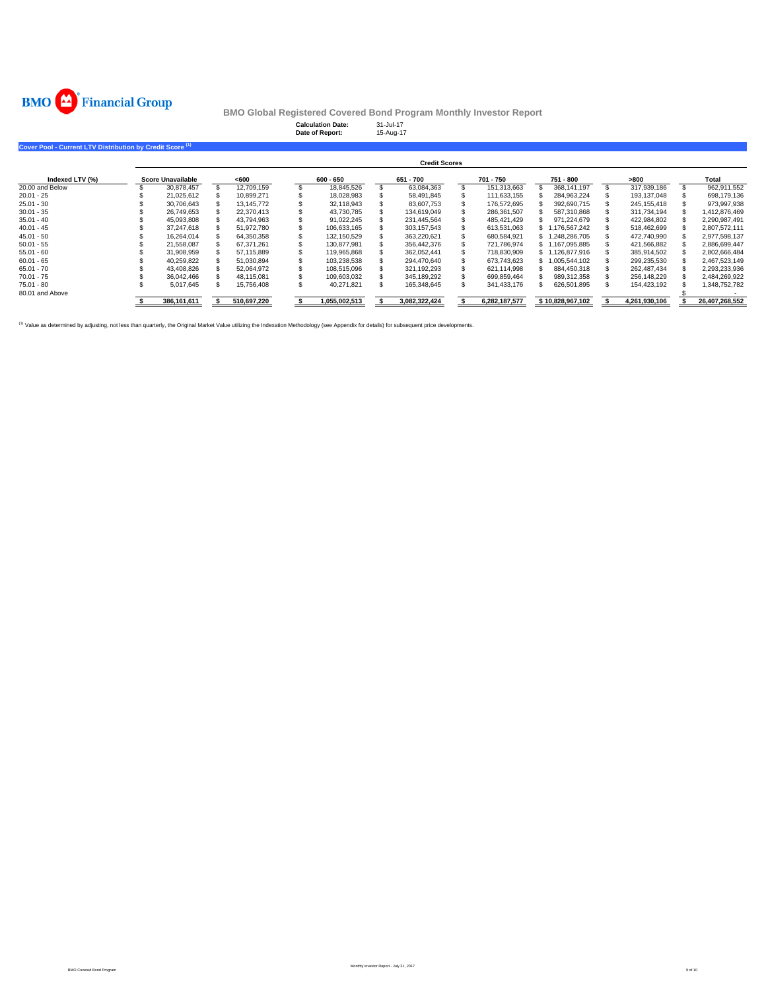

|                                                                      |                          |             | <b>Calculation Date:</b><br>Date of Report: | 31-Jul-17 | 15-Aug-17            |               |                  |               |                |
|----------------------------------------------------------------------|--------------------------|-------------|---------------------------------------------|-----------|----------------------|---------------|------------------|---------------|----------------|
| Cover Pool - Current LTV Distribution by Credit Score <sup>(1)</sup> |                          |             |                                             |           |                      |               |                  |               |                |
|                                                                      |                          |             |                                             |           | <b>Credit Scores</b> |               |                  |               |                |
| Indexed LTV (%)                                                      | <b>Score Unavailable</b> | < 600       | $600 - 650$                                 |           | 651 - 700            | 701 - 750     | 751 - 800        | >800          | Total          |
| 20.00 and Below                                                      | 30,878,457               | 12,709,159  | 18,845,526                                  |           | 63,084,363           | 151.313.663   | 368.141.197      | 317,939,186   | 962,911,552    |
| $20.01 - 25$                                                         | 21,025,612               | 10.899.271  | 18.028.983                                  |           | 58,491,845           | 111,633,155   | 284,963,224      | 193,137,048   | 698,179,136    |
| $25.01 - 30$                                                         | 30,706,643               | 13,145,772  | 32,118,943                                  |           | 83,607,753           | 176.572.695   | 392,690,715      | 245, 155, 418 | 973,997,938    |
| $30.01 - 35$                                                         | 26,749,653               | 22,370,413  | 43,730,785                                  |           | 134,619,049          | 286,361,507   | 587,310,868      | 311,734,194   | 1,412,876,469  |
| $35.01 - 40$                                                         | 45,093,808               | 43,794,963  | 91,022,245                                  |           | 231,445,564          | 485,421,429   | 971,224,679      | 422,984,802   | 2,290,987,491  |
| $40.01 - 45$                                                         | 37,247,618               | 51,972,780  | 106,633,165                                 |           | 303,157,543          | 613,531,063   | 1,176,567,242    | 518,462,699   | 2,807,572,111  |
| $45.01 - 50$                                                         | 16,264,014               | 64,350,358  | 132,150,529                                 |           | 363,220,621          | 680,584,921   | 1,248,286,705    | 472,740,990   | 2,977,598,137  |
| $50.01 - 55$                                                         | 21,558,087               | 67,371,261  | 130.877.981                                 |           | 356,442,376          | 721,786,974   | 1,167,095,885    | 421,566,882   | 2,886,699,447  |
| $55.01 - 60$                                                         | 31,908,959               | 57,115,889  | 119.965.868                                 |           | 362.052.441          | 718,830,909   | 1,126,877,916    | 385,914,502   | 2,802,666,484  |
| $60.01 - 65$                                                         | 40,259,822               | 51,030,894  | 103,238,538                                 |           | 294.470.640          | 673.743.623   | 1,005,544,102    | 299,235,530   | 2,467,523,149  |
| $65.01 - 70$                                                         | 43,408,826               | 52,064,972  | 108,515,096                                 |           | 321,192,293          | 621,114,998   | 884,450,318      | 262,487,434   | 2,293,233,936  |
| $70.01 - 75$                                                         | 36,042,466               | 48,115,081  | 109,603,032                                 |           | 345,189,292          | 699,859,464   | 989,312,358      | 256,148,229   | 2,484,269,922  |
| $75.01 - 80$                                                         | 5,017,645                | 15,756,408  | 40,271,821                                  |           | 165,348,645          | 341,433,176   | 626,501,895      | 154,423,192   | 1,348,752,782  |
| 80.01 and Above                                                      |                          |             |                                             |           |                      |               |                  |               |                |
|                                                                      | 386,161,611              | 510,697,220 | 1,055,002,513                               |           | 3,082,322,424        | 6,282,187,577 | \$10,828,967,102 | 4,261,930,106 | 26,407,268,552 |

<sup>(1)</sup> Value as determined by adjusting, not less than quarterly, the Original Market Value utilizing the Indexation Methodology (see Appendix for details) for subsequent price developments.